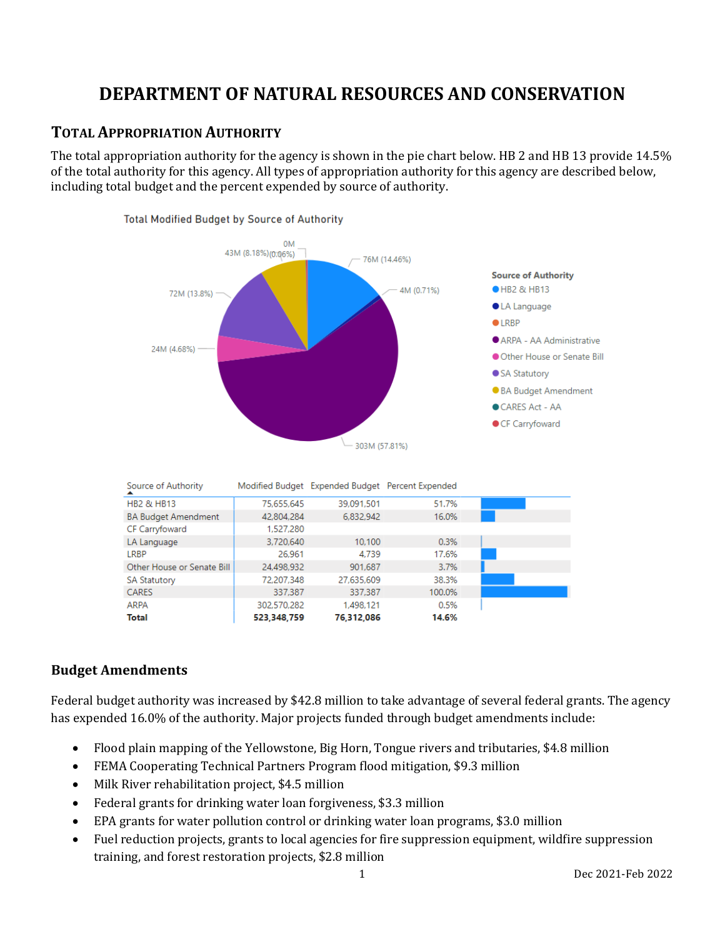# **DEPARTMENT OF NATURAL RESOURCES AND CONSERVATION**

### **TOTAL APPROPRIATION AUTHORITY**

The total appropriation authority for the agency is shown in the pie chart below. HB 2 and HB 13 provide 14.5% of the total authority for this agency. All types of appropriation authority for this agency are described below, including total budget and the percent expended by source of authority.



| Source of Authority        |             | Modified Budget Expended Budget Percent Expended |        |  |
|----------------------------|-------------|--------------------------------------------------|--------|--|
| <b>HB2 &amp; HB13</b>      | 75,655,645  | 39,091,501                                       | 51.7%  |  |
| <b>BA Budget Amendment</b> | 42.804.284  | 6,832,942                                        | 16.0%  |  |
| CF Carryfoward             | 1,527,280   |                                                  |        |  |
| LA Language                | 3,720,640   | 10,100                                           | 0.3%   |  |
| <b>LRBP</b>                | 26.961      | 4.739                                            | 17.6%  |  |
| Other House or Senate Bill | 24,498,932  | 901,687                                          | 3.7%   |  |
| <b>SA Statutory</b>        | 72,207,348  | 27,635,609                                       | 38.3%  |  |
| <b>CARES</b>               | 337,387     | 337,387                                          | 100.0% |  |
| <b>ARPA</b>                | 302.570.282 | 1.498.121                                        | 0.5%   |  |
| <b>Total</b>               | 523.348.759 | 76.312.086                                       | 14.6%  |  |

### **Budget Amendments**

Federal budget authority was increased by \$42.8 million to take advantage of several federal grants. The agency has expended 16.0% of the authority. Major projects funded through budget amendments include:

- Flood plain mapping of the Yellowstone, Big Horn, Tongue rivers and tributaries, \$4.8 million
- FEMA Cooperating Technical Partners Program flood mitigation, \$9.3 million
- Milk River rehabilitation project, \$4.5 million
- Federal grants for drinking water loan forgiveness, \$3.3 million
- EPA grants for water pollution control or drinking water loan programs, \$3.0 million
- Fuel reduction projects, grants to local agencies for fire suppression equipment, wildfire suppression training, and forest restoration projects, \$2.8 million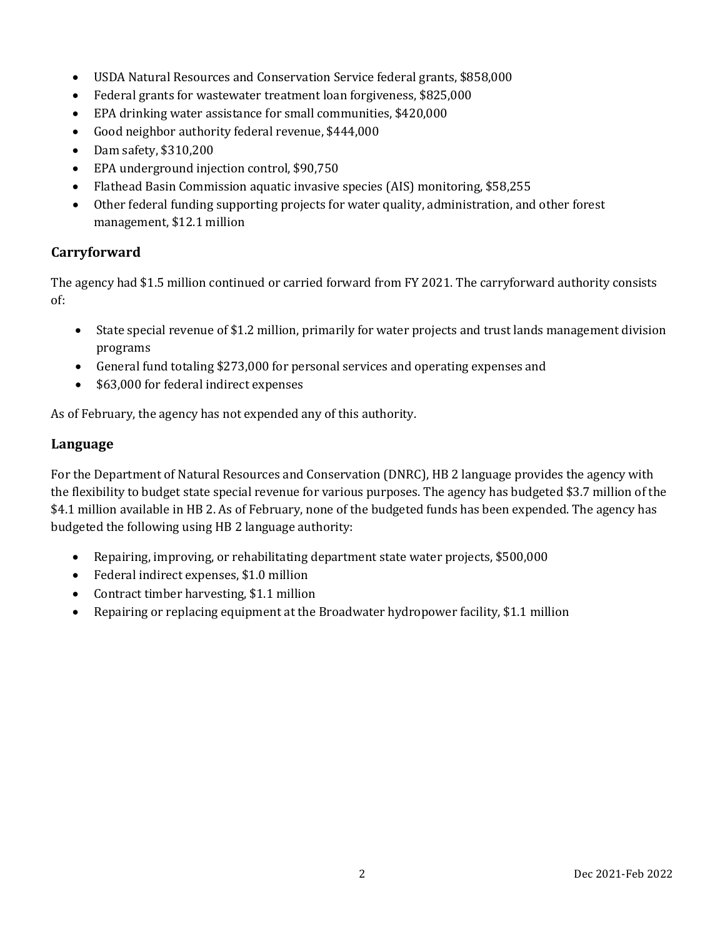- USDA Natural Resources and Conservation Service federal grants, \$858,000
- Federal grants for wastewater treatment loan forgiveness, \$825,000
- EPA drinking water assistance for small communities, \$420,000
- Good neighbor authority federal revenue, \$444,000
- Dam safety, \$310,200
- EPA underground injection control, \$90,750
- Flathead Basin Commission aquatic invasive species (AIS) monitoring, \$58,255
- Other federal funding supporting projects for water quality, administration, and other forest management, \$12.1 million

### **Carryforward**

The agency had \$1.5 million continued or carried forward from FY 2021. The carryforward authority consists of:

- State special revenue of \$1.2 million, primarily for water projects and trust lands management division programs
- General fund totaling \$273,000 for personal services and operating expenses and
- \$63,000 for federal indirect expenses

As of February, the agency has not expended any of this authority.

#### **Language**

For the Department of Natural Resources and Conservation (DNRC), HB 2 language provides the agency with the flexibility to budget state special revenue for various purposes. The agency has budgeted \$3.7 million of the \$4.1 million available in HB 2. As of February, none of the budgeted funds has been expended. The agency has budgeted the following using HB 2 language authority:

- Repairing, improving, or rehabilitating department state water projects, \$500,000
- Federal indirect expenses, \$1.0 million
- Contract timber harvesting, \$1.1 million
- Repairing or replacing equipment at the Broadwater hydropower facility, \$1.1 million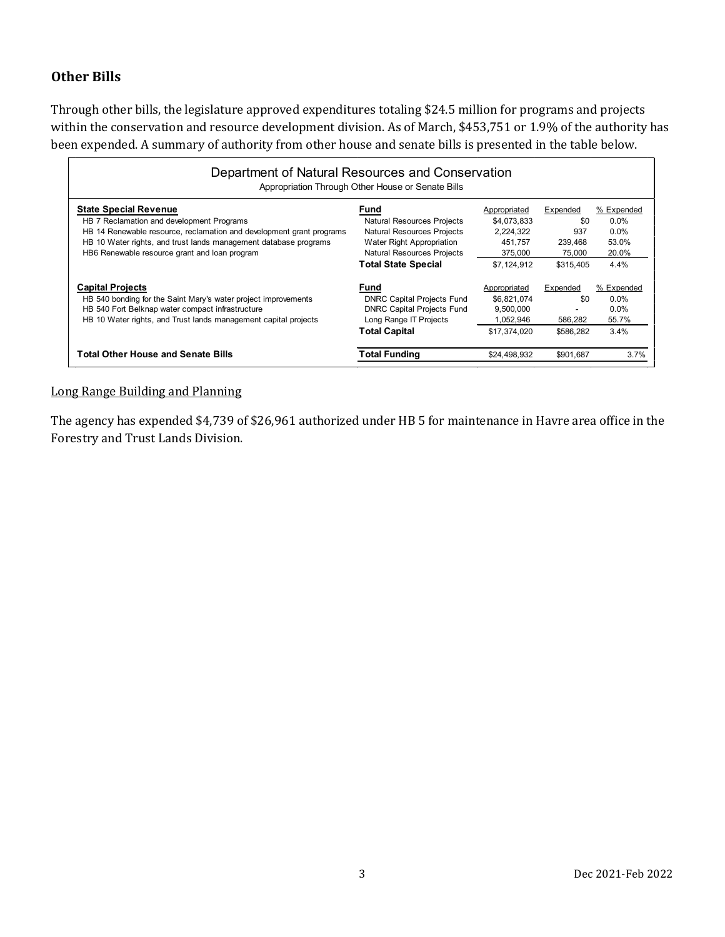### **Other Bills**

Through other bills, the legislature approved expenditures totaling \$24.5 million for programs and projects within the conservation and resource development division. As of March, \$453,751 or 1.9% of the authority has been expended. A summary of authority from other house and senate bills is presented in the table below.

| Department of Natural Resources and Conservation<br>Appropriation Through Other House or Senate Bills |                                   |              |           |            |  |  |  |
|-------------------------------------------------------------------------------------------------------|-----------------------------------|--------------|-----------|------------|--|--|--|
| <b>State Special Revenue</b>                                                                          | Fund                              | Appropriated | Expended  | % Expended |  |  |  |
| HB 7 Reclamation and development Programs                                                             | Natural Resources Projects        | \$4,073,833  | \$0       | $0.0\%$    |  |  |  |
| HB 14 Renewable resource, reclamation and development grant programs                                  | Natural Resources Projects        | 2,224,322    | 937       | 0.0%       |  |  |  |
| HB 10 Water rights, and trust lands management database programs                                      | Water Right Appropriation         | 451.757      | 239,468   | 53.0%      |  |  |  |
| HB6 Renewable resource grant and loan program                                                         | Natural Resources Projects        | 375,000      | 75,000    | 20.0%      |  |  |  |
|                                                                                                       | <b>Total State Special</b>        | \$7,124,912  | \$315,405 | 4.4%       |  |  |  |
| <b>Capital Projects</b>                                                                               | Fund                              | Appropriated | Expended  | % Expended |  |  |  |
| HB 540 bonding for the Saint Mary's water project improvements                                        | <b>DNRC Capital Projects Fund</b> | \$6,821,074  | \$0       | $0.0\%$    |  |  |  |
| HB 540 Fort Belknap water compact infrastructure                                                      | <b>DNRC Capital Projects Fund</b> | 9,500,000    |           | $0.0\%$    |  |  |  |
| HB 10 Water rights, and Trust lands management capital projects                                       | Long Range IT Projects            | 1,052,946    | 586,282   | 55.7%      |  |  |  |
|                                                                                                       | <b>Total Capital</b>              | \$17,374,020 | \$586.282 | 3.4%       |  |  |  |
| Total Other House and Senate Bills                                                                    | Total Funding                     | \$24,498,932 | \$901,687 | 3.7%       |  |  |  |

### Long Range Building and Planning

The agency has expended \$4,739 of \$26,961 authorized under HB 5 for maintenance in Havre area office in the Forestry and Trust Lands Division.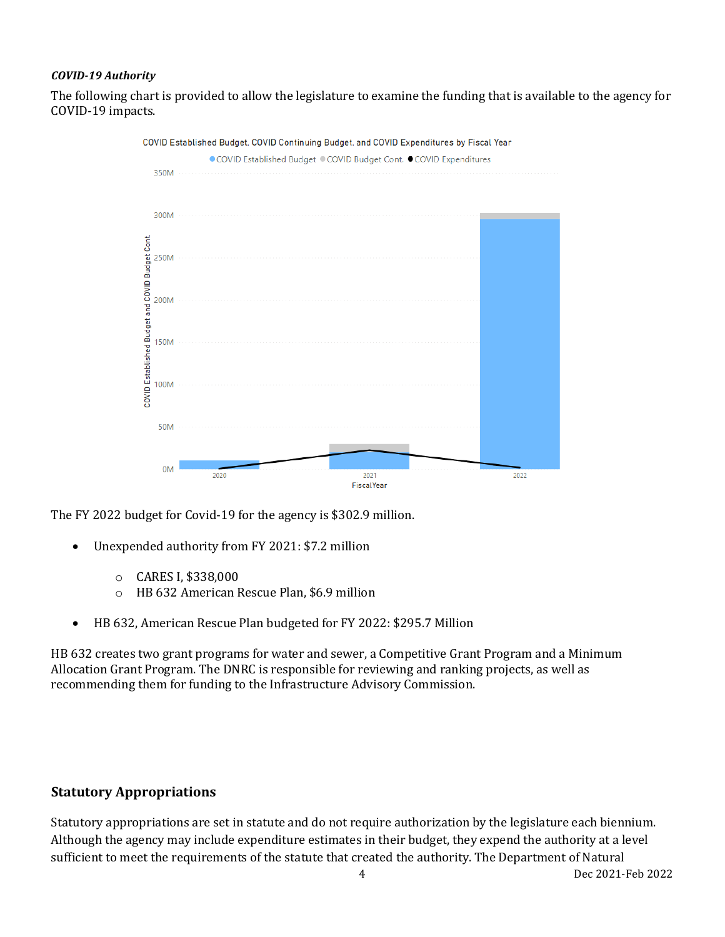#### *COVID-19 Authority*

The following chart is provided to allow the legislature to examine the funding that is available to the agency for COVID-19 impacts.



The FY 2022 budget for Covid-19 for the agency is \$302.9 million.

- Unexpended authority from FY 2021: \$7.2 million
	- o CARES I, \$338,000
	- o HB 632 American Rescue Plan, \$6.9 million
- HB 632, American Rescue Plan budgeted for FY 2022: \$295.7 Million

HB 632 creates two grant programs for water and sewer, a Competitive Grant Program and a Minimum Allocation Grant Program. The DNRC is responsible for reviewing and ranking projects, as well as recommending them for funding to the Infrastructure Advisory Commission.

#### **Statutory Appropriations**

Statutory appropriations are set in statute and do not require authorization by the legislature each biennium. Although the agency may include expenditure estimates in their budget, they expend the authority at a level sufficient to meet the requirements of the statute that created the authority. The Department of Natural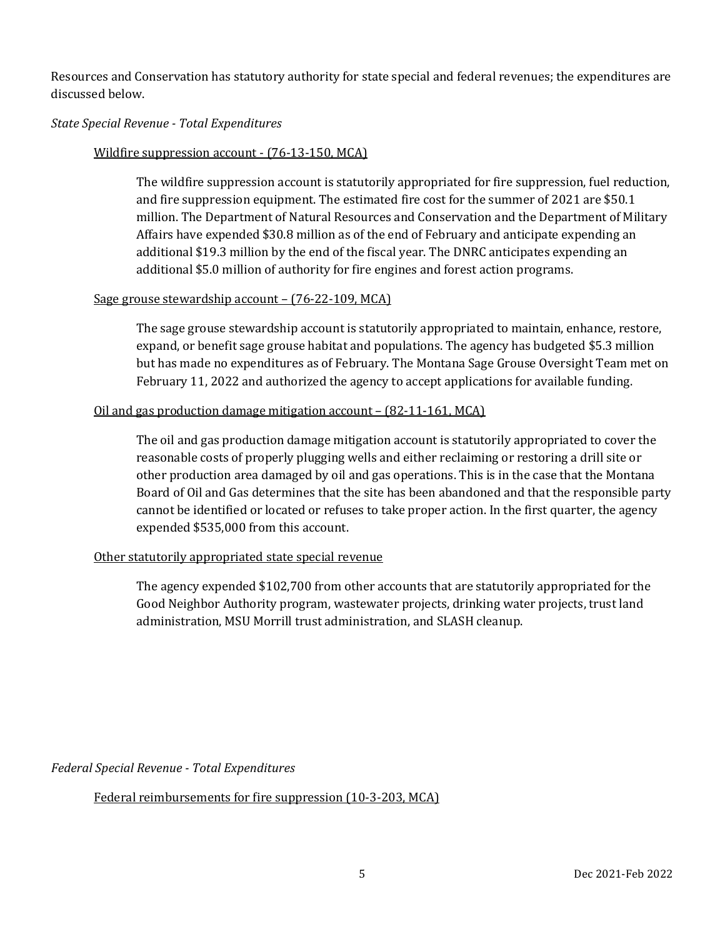Resources and Conservation has statutory authority for state special and federal revenues; the expenditures are discussed below.

#### *State Special Revenue - Total Expenditures*

#### Wildfire suppression account - (76-13-150, MCA)

The wildfire suppression account is statutorily appropriated for fire suppression, fuel reduction, and fire suppression equipment. The estimated fire cost for the summer of 2021 are \$50.1 million. The Department of Natural Resources and Conservation and the Department of Military Affairs have expended \$30.8 million as of the end of February and anticipate expending an additional \$19.3 million by the end of the fiscal year. The DNRC anticipates expending an additional \$5.0 million of authority for fire engines and forest action programs.

#### Sage grouse stewardship account – (76-22-109, MCA)

The sage grouse stewardship account is statutorily appropriated to maintain, enhance, restore, expand, or benefit sage grouse habitat and populations. The agency has budgeted \$5.3 million but has made no expenditures as of February. The Montana Sage Grouse Oversight Team met on February 11, 2022 and authorized the agency to accept applications for available funding.

#### Oil and gas production damage mitigation account – (82-11-161, MCA)

The oil and gas production damage mitigation account is statutorily appropriated to cover the reasonable costs of properly plugging wells and either reclaiming or restoring a drill site or other production area damaged by oil and gas operations. This is in the case that the Montana Board of Oil and Gas determines that the site has been abandoned and that the responsible party cannot be identified or located or refuses to take proper action. In the first quarter, the agency expended \$535,000 from this account.

#### Other statutorily appropriated state special revenue

The agency expended \$102,700 from other accounts that are statutorily appropriated for the Good Neighbor Authority program, wastewater projects, drinking water projects, trust land administration, MSU Morrill trust administration, and SLASH cleanup.

*Federal Special Revenue - Total Expenditures* 

Federal reimbursements for fire suppression (10-3-203, MCA)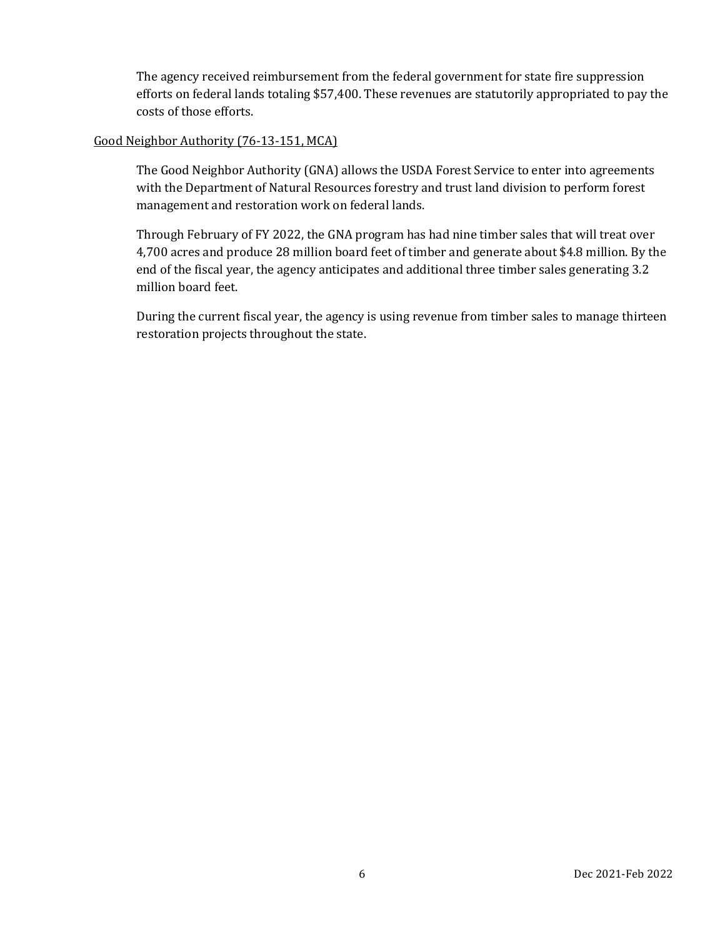The agency received reimbursement from the federal government for state fire suppression efforts on federal lands totaling \$57,400. These revenues are statutorily appropriated to pay the costs of those efforts.

#### Good Neighbor Authority (76-13-151, MCA)

The Good Neighbor Authority (GNA) allows the USDA Forest Service to enter into agreements with the Department of Natural Resources forestry and trust land division to perform forest management and restoration work on federal lands.

Through February of FY 2022, the GNA program has had nine timber sales that will treat over 4,700 acres and produce 28 million board feet of timber and generate about \$4.8 million. By the end of the fiscal year, the agency anticipates and additional three timber sales generating 3.2 million board feet.

During the current fiscal year, the agency is using revenue from timber sales to manage thirteen restoration projects throughout the state.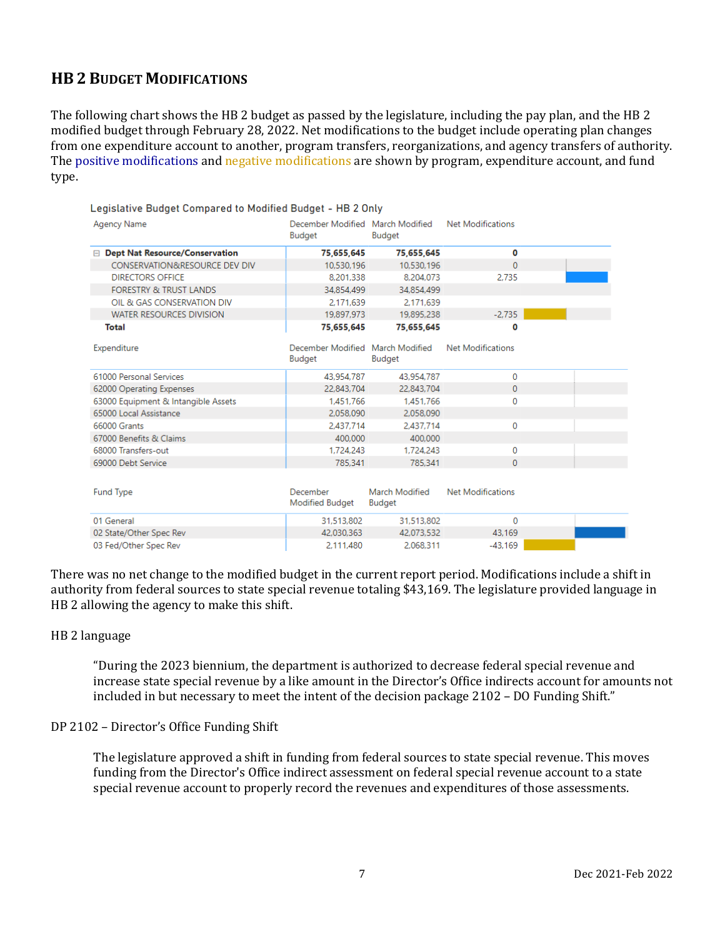## **HB 2 BUDGET MODIFICATIONS**

The following chart shows the HB 2 budget as passed by the legislature, including the pay plan, and the HB 2 modified budget through February 28, 2022. Net modifications to the budget include operating plan changes from one expenditure account to another, program transfers, reorganizations, and agency transfers of authority. The positive modifications and negative modifications are shown by program, expenditure account, and fund type.

| <b>Agency Name</b>                              | December Modified March Modified<br>Budget | Budget                   | Net Modifications        |  |
|-------------------------------------------------|--------------------------------------------|--------------------------|--------------------------|--|
| <b>Dept Nat Resource/Conservation</b><br>$\Box$ | 75,655,645                                 | 75,655,645               | O                        |  |
| CONSERVATION&RESOURCE DEVIDIV                   | 10.530.196                                 | 10.530.196               | $\Omega$                 |  |
| <b>DIRECTORS OFFICE</b>                         | 8.201.338                                  | 8.204.073                | 2.735                    |  |
| <b>FORESTRY &amp; TRUST LANDS</b>               | 34.854.499                                 | 34.854.499               |                          |  |
| OIL & GAS CONSERVATION DIV                      | 2.171.639                                  | 2.171.639                |                          |  |
| <b>WATER RESOURCES DIVISION</b>                 | 19,897,973                                 | 19,895,238               | $-2.735$                 |  |
| <b>Total</b>                                    | 75,655,645                                 | 75,655,645               | O                        |  |
| Expenditure                                     | December Modified March Modified<br>Budget | Budget                   | <b>Net Modifications</b> |  |
| 61000 Personal Services                         | 43.954.787                                 | 43.954.787               | 0                        |  |
| 62000 Operating Expenses                        | 22,843,704                                 | 22.843.704               | $\mathbf{0}$             |  |
| 63000 Equipment & Intangible Assets             | 1.451.766                                  | 1.451.766                | 0                        |  |
| 65000 Local Assistance                          | 2.058.090                                  | 2.058.090                |                          |  |
| 66000 Grants                                    | 2.437.714                                  | 2.437.714                | $\Omega$                 |  |
| 67000 Benefits & Claims                         | 400.000                                    | 400.000                  |                          |  |
| 68000 Transfers-out                             | 1,724,243                                  | 1,724,243                | $\Omega$                 |  |
| 69000 Debt Service                              | 785.341                                    | 785.341                  | $\Omega$                 |  |
| Fund Type                                       | December<br>Modified Budget                | March Modified<br>Budget | <b>Net Modifications</b> |  |
| 01 General                                      | 31.513.802                                 | 31.513.802               | $\mathbf{0}$             |  |
| 02 State/Other Spec Rev                         | 42.030.363                                 | 42.073.532               | 43.169                   |  |
| 03 Fed/Other Spec Rev                           | 2.111.480                                  | 2.068.311                | $-43.169$                |  |

There was no net change to the modified budget in the current report period. Modifications include a shift in authority from federal sources to state special revenue totaling \$43,169. The legislature provided language in HB 2 allowing the agency to make this shift.

#### HB 2 language

"During the 2023 biennium, the department is authorized to decrease federal special revenue and increase state special revenue by a like amount in the Director's Office indirects account for amounts not included in but necessary to meet the intent of the decision package 2102 – DO Funding Shift."

#### DP 2102 – Director's Office Funding Shift

The legislature approved a shift in funding from federal sources to state special revenue. This moves funding from the Director's Office indirect assessment on federal special revenue account to a state special revenue account to properly record the revenues and expenditures of those assessments.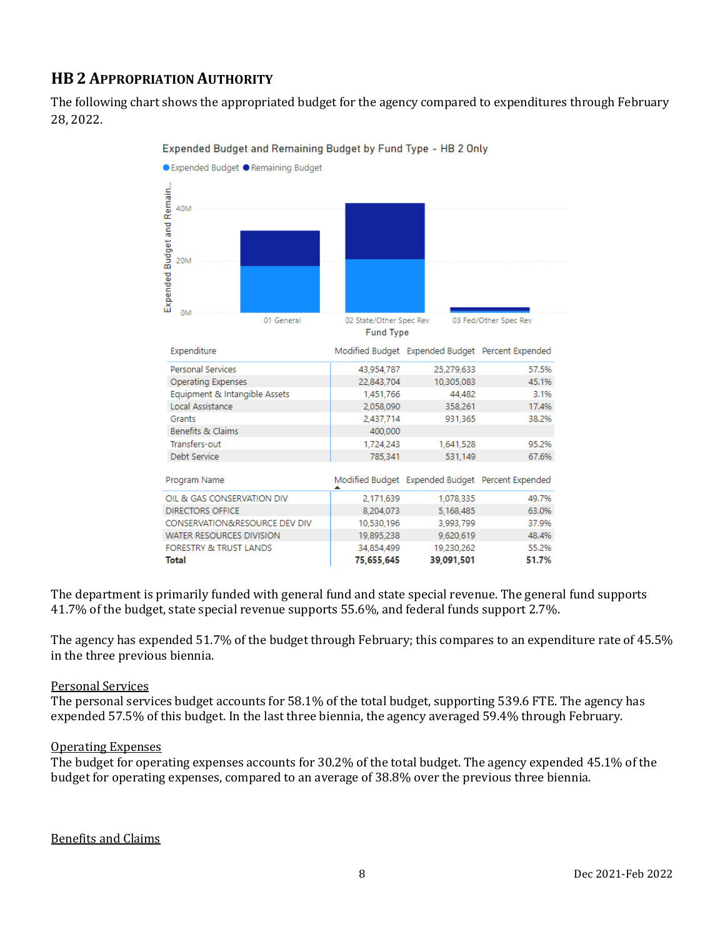# **HB 2 APPROPRIATION AUTHORITY**

The following chart shows the appropriated budget for the agency compared to expenditures through February 28, 2022.



Expended Budget and Remaining Budget by Fund Type - HB 2 Only

The department is primarily funded with general fund and state special revenue. The general fund supports 41.7% of the budget, state special revenue supports 55.6%, and federal funds support 2.7%.

The agency has expended 51.7% of the budget through February; this compares to an expenditure rate of 45.5% in the three previous biennia.

#### Personal Services

The personal services budget accounts for 58.1% of the total budget, supporting 539.6 FTE. The agency has expended 57.5% of this budget. In the last three biennia, the agency averaged 59.4% through February.

#### Operating Expenses

The budget for operating expenses accounts for 30.2% of the total budget. The agency expended 45.1% of the budget for operating expenses, compared to an average of 38.8% over the previous three biennia.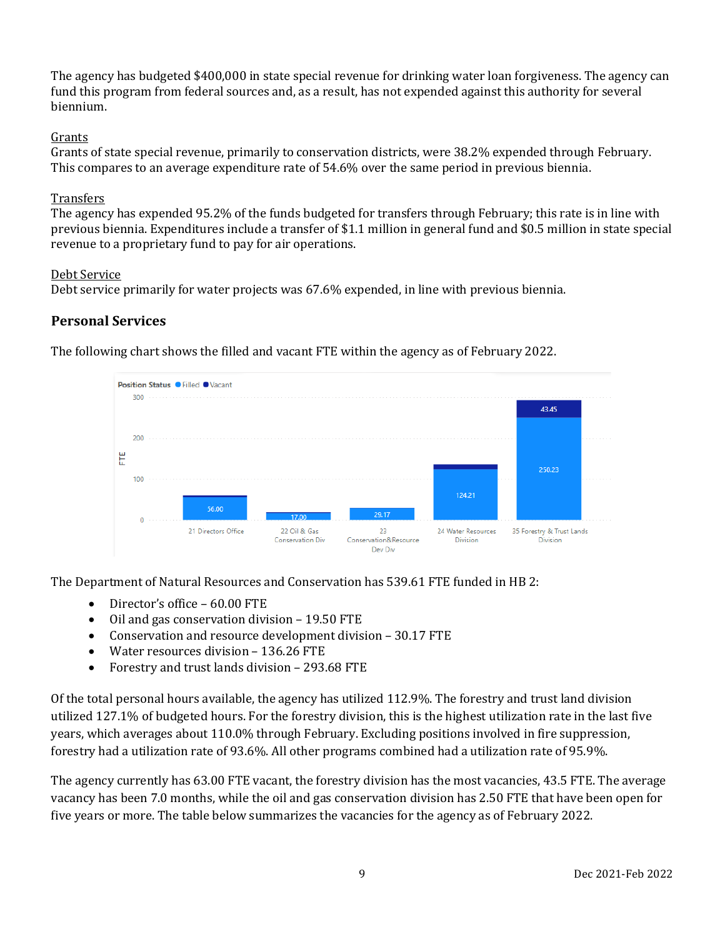The agency has budgeted \$400,000 in state special revenue for drinking water loan forgiveness. The agency can fund this program from federal sources and, as a result, has not expended against this authority for several biennium.

#### Grants

Grants of state special revenue, primarily to conservation districts, were 38.2% expended through February. This compares to an average expenditure rate of 54.6% over the same period in previous biennia.

#### **Transfers**

The agency has expended 95.2% of the funds budgeted for transfers through February; this rate is in line with previous biennia. Expenditures include a transfer of \$1.1 million in general fund and \$0.5 million in state special revenue to a proprietary fund to pay for air operations.

#### Debt Service

Debt service primarily for water projects was 67.6% expended, in line with previous biennia.

### **Personal Services**



The following chart shows the filled and vacant FTE within the agency as of February 2022.

The Department of Natural Resources and Conservation has 539.61 FTE funded in HB 2:

- Director's office 60.00 FTE
- Oil and gas conservation division 19.50 FTE
- Conservation and resource development division 30.17 FTE
- Water resources division 136.26 FTE
- Forestry and trust lands division 293.68 FTE

Of the total personal hours available, the agency has utilized 112.9%. The forestry and trust land division utilized 127.1% of budgeted hours. For the forestry division, this is the highest utilization rate in the last five years, which averages about 110.0% through February. Excluding positions involved in fire suppression, forestry had a utilization rate of 93.6%. All other programs combined had a utilization rate of 95.9%.

The agency currently has 63.00 FTE vacant, the forestry division has the most vacancies, 43.5 FTE. The average vacancy has been 7.0 months, while the oil and gas conservation division has 2.50 FTE that have been open for five years or more. The table below summarizes the vacancies for the agency as of February 2022.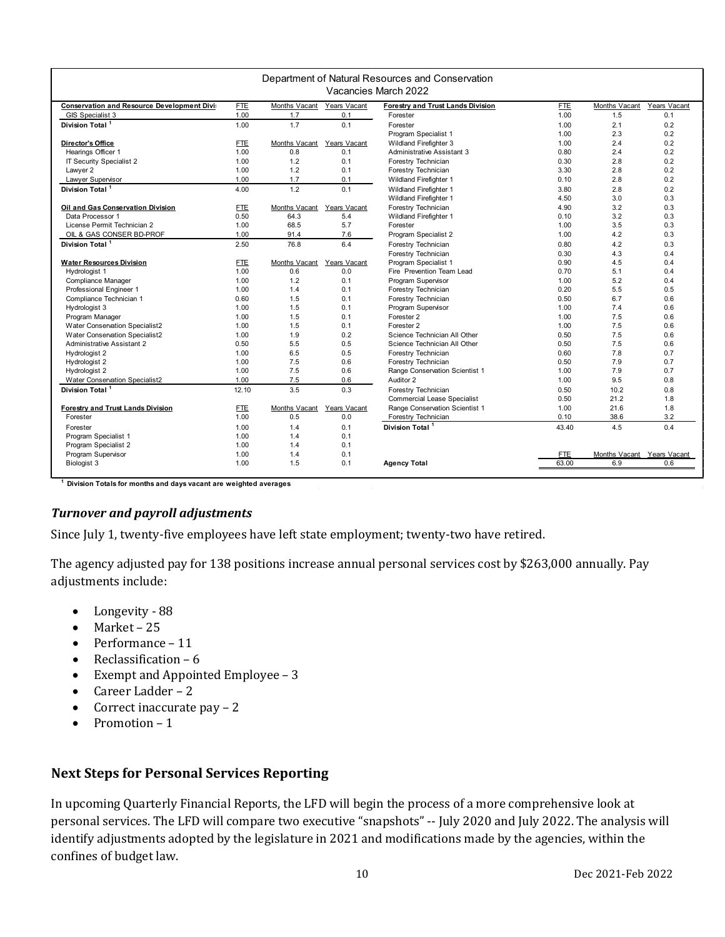| Department of Natural Resources and Conservation<br>Vacancies March 2022 |            |               |              |                                          |            |                            |              |
|--------------------------------------------------------------------------|------------|---------------|--------------|------------------------------------------|------------|----------------------------|--------------|
| <b>Conservation and Resource Development Divi:</b>                       | <b>ETE</b> | Months Vacant | Years Vacant | <b>Forestry and Trust Lands Division</b> | <b>ETE</b> | Months Vacant              | Years Vacant |
| GIS Specialist 3                                                         | 1.00       | 1.7           | 0.1          | Forester                                 | 1.00       | 1.5                        | 0.1          |
| Division Total                                                           | 1.00       | 1.7           | 0.1          | Forester                                 | 1.00       | 2.1                        | 0.2          |
|                                                                          |            |               |              | Program Specialist 1                     | 1.00       | 2.3                        | 0.2          |
| Director's Office                                                        | <b>FTE</b> | Months Vacant | Years Vacant | Wildland Firefighter 3                   | 1.00       | 2.4                        | 0.2          |
| Hearings Officer 1                                                       | 1.00       | 0.8           | 0.1          | <b>Administrative Assistant 3</b>        | 0.80       | 2.4                        | 0.2          |
| IT Security Specialist 2                                                 | 1.00       | 1.2           | 0.1          | Forestry Technician                      | 0.30       | 2.8                        | 0.2          |
| Lawyer 2                                                                 | 1.00       | 1.2           | 0.1          | Forestry Technician                      | 3.30       | 2.8                        | 0.2          |
| Lawyer Supervisor                                                        | 1.00       | 1.7           | 0.1          | Wildland Firefighter 1                   | 0.10       | 2.8                        | 0.2          |
| Division Total <sup>1</sup>                                              | 4.00       | 1.2           | 0.1          | Wildland Firefighter 1                   | 3.80       | 2.8                        | 0.2          |
|                                                                          |            |               |              | Wildland Firefighter 1                   | 4.50       | 3.0                        | 0.3          |
| Oil and Gas Conservation Division                                        | <b>FTE</b> | Months Vacant | Years Vacant | Forestry Technician                      | 4.90       | 3.2                        | 0.3          |
| Data Processor 1                                                         | 0.50       | 64.3          | 5.4          | Wildland Firefighter 1                   | 0.10       | 3.2                        | 0.3          |
| License Permit Technician 2                                              | 1.00       | 68.5          | 5.7          | Forester                                 | 1.00       | 3.5                        | 0.3          |
| OIL & GAS CONSER BD-PROF                                                 | 1.00       | 91.4          | 7.6          | Program Specialist 2                     | 1.00       | 4.2                        | 0.3          |
| Division Total <sup>1</sup>                                              | 2.50       | 76.8          | 6.4          | Forestry Technician                      | 0.80       | 4.2                        | 0.3          |
|                                                                          |            |               |              | Forestry Technician                      | 0.30       | 4.3                        | 0.4          |
| <b>Water Resources Division</b>                                          | <b>ETE</b> | Months Vacant | Years Vacant | Program Specialist 1                     | 0.90       | 4.5                        | 0.4          |
| Hydrologist 1                                                            | 1.00       | 0.6           | 0.0          | Fire Prevention Team Lead                | 0.70       | 5.1                        | 0.4          |
| Compliance Manager                                                       | 1.00       | 1.2           | 0.1          | Program Supervisor                       | 1.00       | 5.2                        | 0.4          |
| Professional Engineer 1                                                  | 1.00       | 1.4           | 0.1          | Forestry Technician                      | 0.20       | 5.5                        | 0.5          |
| Compliance Technician 1                                                  | 0.60       | 1.5           | 0.1          | Forestry Technician                      | 0.50       | 6.7                        | 0.6          |
| Hydrologist 3                                                            | 1.00       | 1.5           | 0.1          | Program Supervisor                       | 1.00       | 7.4                        | 0.6          |
| Program Manager                                                          | 1.00       | 1.5           | 0.1          | Forester 2                               | 1.00       | 7.5                        | 0.6          |
| Water Conservation Specialist2                                           | 1.00       | 1.5           | 0.1          | Forester 2                               | 1.00       | 7.5                        | 0.6          |
| Water Conservation Specialist2                                           | 1.00       | 1.9           | 0.2          | Science Technician All Other             | 0.50       | 7.5                        | 0.6          |
| <b>Administrative Assistant 2</b>                                        | 0.50       | 5.5           | 0.5          | Science Technician All Other             | 0.50       | 7.5                        | 0.6          |
| Hydrologist 2                                                            | 1.00       | 6.5           | 0.5          | Forestry Technician                      | 0.60       | 7.8                        | 0.7          |
| Hydrologist 2                                                            | 1.00       | 7.5           | 0.6          | Forestry Technician                      | 0.50       | 7.9                        | 0.7          |
| Hydrologist 2                                                            | 1.00       | 7.5           | 0.6          | Range Conservation Scientist 1           | 1.00       | 7.9                        | 0.7          |
| Water Conservation Specialist2                                           | 1.00       | 7.5           | 0.6          | Auditor 2                                | 1.00       | 9.5                        | 0.8          |
| Division Total <sup>1</sup>                                              | 12.10      | 3.5           | 0.3          | Forestry Technician                      | 0.50       | 10.2                       | 0.8          |
|                                                                          |            |               |              | <b>Commercial Lease Specialist</b>       | 0.50       | 21.2                       | 1.8          |
| <b>Forestry and Trust Lands Division</b>                                 | <b>ETE</b> | Months Vacant | Years Vacant | Range Conservation Scientist 1           | 1.00       | 21.6                       | 1.8          |
| Forester                                                                 | 1.00       | 0.5           | 0.0          | Forestry Technician                      | 0.10       | 38.6                       | 3.2          |
| Forester                                                                 | 1.00       | 1.4           | 0.1          | Division Total <sup>1</sup>              | 43.40      | 4.5                        | 0.4          |
| Program Specialist 1                                                     | 1.00       | 1.4           | 0.1          |                                          |            |                            |              |
| Program Specialist 2                                                     | 1.00       | 1.4           | 0.1          |                                          |            |                            |              |
| Program Supervisor                                                       | 1.00       | 1.4           | 0.1          |                                          | <b>FTE</b> | Months Vacant Years Vacant |              |
| Biologist 3                                                              | 1.00       | 1.5           | 0.1          | <b>Agency Total</b>                      | 63.00      | 6.9                        | 0.6          |
|                                                                          |            |               |              |                                          |            |                            |              |

**1 Division Totals for months and days vacant are weighted averages** 

#### *Turnover and payroll adjustments*

Since July 1, twenty-five employees have left state employment; twenty-two have retired.

The agency adjusted pay for 138 positions increase annual personal services cost by \$263,000 annually. Pay adjustments include:

- Longevity 88
- Market 25
- Performance 11
- Reclassification 6
- Exempt and Appointed Employee 3
- Career Ladder 2
- Correct inaccurate pay 2
- Promotion 1

### **Next Steps for Personal Services Reporting**

In upcoming Quarterly Financial Reports, the LFD will begin the process of a more comprehensive look at personal services. The LFD will compare two executive "snapshots" -- July 2020 and July 2022. The analysis will identify adjustments adopted by the legislature in 2021 and modifications made by the agencies, within the confines of budget law.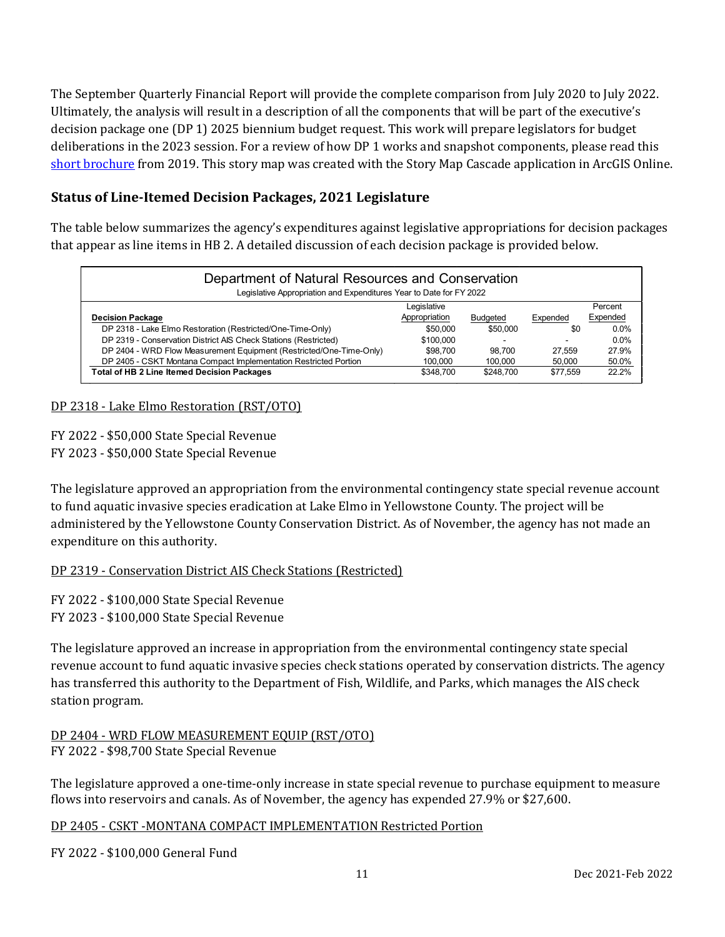The September Quarterly Financial Report will provide the complete comparison from July 2020 to July 2022. Ultimately, the analysis will result in a description of all the components that will be part of the executive's decision package one (DP 1) 2025 biennium budget request. This work will prepare legislators for budget deliberations in the 2023 session. For a review of how DP 1 works and snapshot components, please read this [short brochure](https://montana.maps.arcgis.com/apps/Cascade/index.html?appid=23095fcf15754f4fb38b63c58a884b97) from 2019. This story map was created with the Story Map Cascade application in ArcGIS Online.

### **Status of Line-Itemed Decision Packages, 2021 Legislature**

The table below summarizes the agency's expenditures against legislative appropriations for decision packages that appear as line items in HB 2. A detailed discussion of each decision package is provided below.

| Department of Natural Resources and Conservation<br>Legislative Appropriation and Expenditures Year to Date for FY 2022 |               |                 |          |          |  |  |  |
|-------------------------------------------------------------------------------------------------------------------------|---------------|-----------------|----------|----------|--|--|--|
|                                                                                                                         | Legislative   |                 |          | Percent  |  |  |  |
| <b>Decision Package</b>                                                                                                 | Appropriation | <b>Budgeted</b> | Expended | Expended |  |  |  |
| DP 2318 - Lake Elmo Restoration (Restricted/One-Time-Only)                                                              | \$50,000      | \$50,000        | \$0      | $0.0\%$  |  |  |  |
| DP 2319 - Conservation District AIS Check Stations (Restricted)                                                         | \$100,000     | -               |          | 0.0%     |  |  |  |
| DP 2404 - WRD Flow Measurement Equipment (Restricted/One-Time-Only)                                                     | \$98,700      | 98.700          | 27.559   | 27.9%    |  |  |  |
| DP 2405 - CSKT Montana Compact Implementation Restricted Portion                                                        | 100.000       | 100.000         | 50.000   | 50.0%    |  |  |  |
| <b>Total of HB 2 Line Itemed Decision Packages</b>                                                                      | \$348.700     | \$248.700       | \$77.559 | 22.2%    |  |  |  |

### DP 2318 - Lake Elmo Restoration (RST/OTO)

FY 2022 - \$50,000 State Special Revenue FY 2023 - \$50,000 State Special Revenue

The legislature approved an appropriation from the environmental contingency state special revenue account to fund aquatic invasive species eradication at Lake Elmo in Yellowstone County. The project will be administered by the Yellowstone County Conservation District. As of November, the agency has not made an expenditure on this authority.

### DP 2319 - Conservation District AIS Check Stations (Restricted)

FY 2022 - \$100,000 State Special Revenue FY 2023 - \$100,000 State Special Revenue

The legislature approved an increase in appropriation from the environmental contingency state special revenue account to fund aquatic invasive species check stations operated by conservation districts. The agency has transferred this authority to the Department of Fish, Wildlife, and Parks, which manages the AIS check station program.

DP 2404 - WRD FLOW MEASUREMENT EQUIP (RST/OTO) FY 2022 - \$98,700 State Special Revenue

The legislature approved a one-time-only increase in state special revenue to purchase equipment to measure flows into reservoirs and canals. As of November, the agency has expended 27.9% or \$27,600.

#### DP 2405 - CSKT -MONTANA COMPACT IMPLEMENTATION Restricted Portion

FY 2022 - \$100,000 General Fund